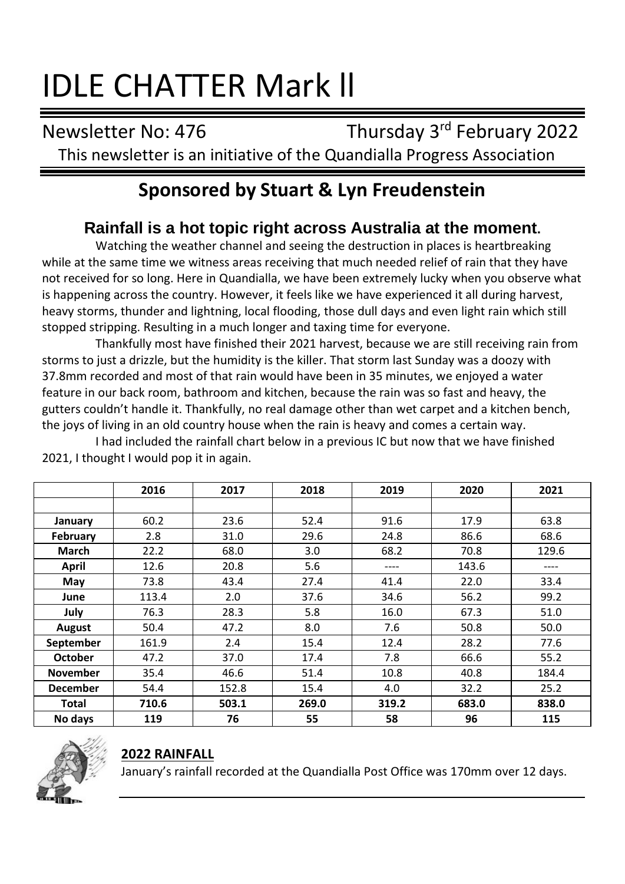# IDLE CHATTER Mark ll

Newsletter No: 476 Thursday 3rd February 2022 This newsletter is an initiative of the Quandialla Progress Association

# **Sponsored by Stuart & Lyn Freudenstein**

# **Rainfall is a hot topic right across Australia at the moment.**

Watching the weather channel and seeing the destruction in places is heartbreaking while at the same time we witness areas receiving that much needed relief of rain that they have not received for so long. Here in Quandialla, we have been extremely lucky when you observe what is happening across the country. However, it feels like we have experienced it all during harvest, heavy storms, thunder and lightning, local flooding, those dull days and even light rain which still stopped stripping. Resulting in a much longer and taxing time for everyone.

Thankfully most have finished their 2021 harvest, because we are still receiving rain from storms to just a drizzle, but the humidity is the killer. That storm last Sunday was a doozy with 37.8mm recorded and most of that rain would have been in 35 minutes, we enjoyed a water feature in our back room, bathroom and kitchen, because the rain was so fast and heavy, the gutters couldn't handle it. Thankfully, no real damage other than wet carpet and a kitchen bench, the joys of living in an old country house when the rain is heavy and comes a certain way.

I had included the rainfall chart below in a previous IC but now that we have finished 2021, I thought I would pop it in again.

|                 | 2016  | 2017  | 2018  | 2019  | 2020  | 2021  |
|-----------------|-------|-------|-------|-------|-------|-------|
|                 |       |       |       |       |       |       |
| January         | 60.2  | 23.6  | 52.4  | 91.6  | 17.9  | 63.8  |
| February        | 2.8   | 31.0  | 29.6  | 24.8  | 86.6  | 68.6  |
| March           | 22.2  | 68.0  | 3.0   | 68.2  | 70.8  | 129.6 |
| April           | 12.6  | 20.8  | 5.6   | ----  | 143.6 |       |
| May             | 73.8  | 43.4  | 27.4  | 41.4  | 22.0  | 33.4  |
| June            | 113.4 | 2.0   | 37.6  | 34.6  | 56.2  | 99.2  |
| July            | 76.3  | 28.3  | 5.8   | 16.0  | 67.3  | 51.0  |
| August          | 50.4  | 47.2  | 8.0   | 7.6   | 50.8  | 50.0  |
| September       | 161.9 | 2.4   | 15.4  | 12.4  | 28.2  | 77.6  |
| <b>October</b>  | 47.2  | 37.0  | 17.4  | 7.8   | 66.6  | 55.2  |
| <b>November</b> | 35.4  | 46.6  | 51.4  | 10.8  | 40.8  | 184.4 |
| <b>December</b> | 54.4  | 152.8 | 15.4  | 4.0   | 32.2  | 25.2  |
| Total           | 710.6 | 503.1 | 269.0 | 319.2 | 683.0 | 838.0 |
| No days         | 119   | 76    | 55    | 58    | 96    | 115   |



#### **2022 RAINFALL**

January's rainfall recorded at the Quandialla Post Office was 170mm over 12 days.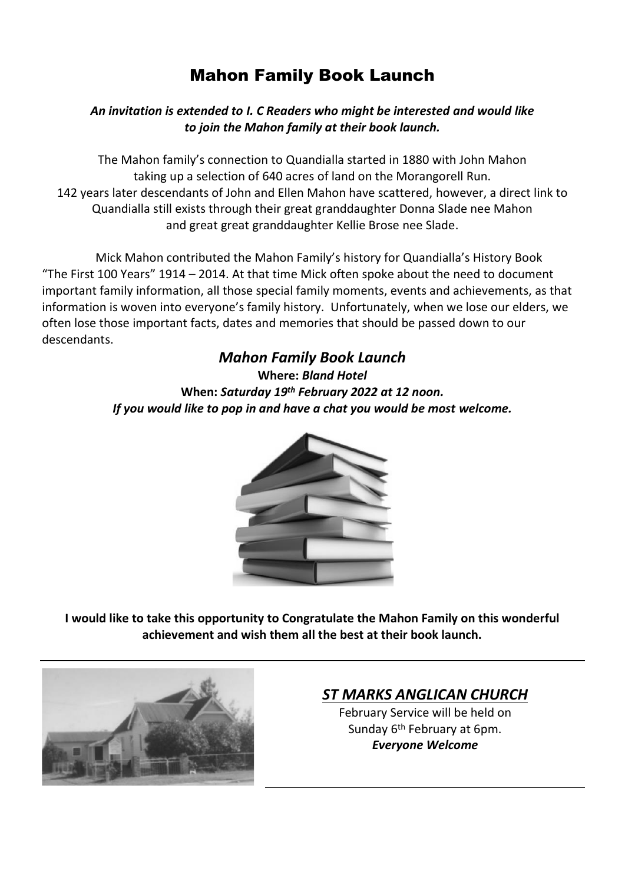# Mahon Family Book Launch

#### *An invitation is extended to I. C Readers who might be interested and would like to join the Mahon family at their book launch.*

The Mahon family's connection to Quandialla started in 1880 with John Mahon taking up a selection of 640 acres of land on the Morangorell Run. 142 years later descendants of John and Ellen Mahon have scattered, however, a direct link to Quandialla still exists through their great granddaughter Donna Slade nee Mahon and great great granddaughter Kellie Brose nee Slade.

Mick Mahon contributed the Mahon Family's history for Quandialla's History Book "The First 100 Years" 1914 – 2014. At that time Mick often spoke about the need to document important family information, all those special family moments, events and achievements, as that information is woven into everyone's family history. Unfortunately, when we lose our elders, we often lose those important facts, dates and memories that should be passed down to our descendants.

> *Mahon Family Book Launch* **Where:** *Bland Hotel* **When:** *Saturday 19th February 2022 at 12 noon. If you would like to pop in and have a chat you would be most welcome.*



**I would like to take this opportunity to Congratulate the Mahon Family on this wonderful achievement and wish them all the best at their book launch.**



### *ST MARKS ANGLICAN CHURCH*

February Service will be held on Sunday 6<sup>th</sup> February at 6pm. *Everyone Welcome*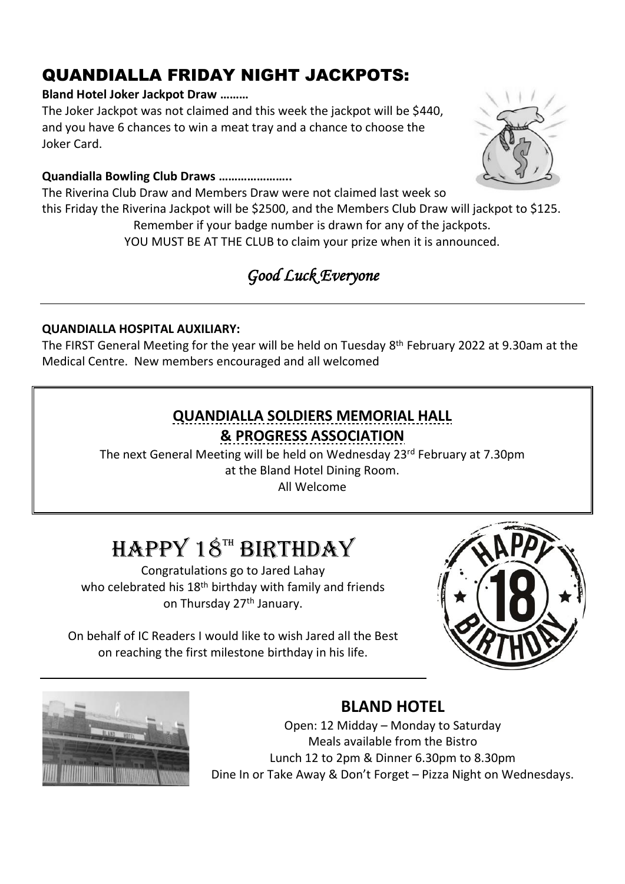# QUANDIALLA FRIDAY NIGHT JACKPOTS:

#### **Bland Hotel Joker Jackpot Draw ………**

The Joker Jackpot was not claimed and this week the jackpot will be \$440, and you have 6 chances to win a meat tray and a chance to choose the Joker Card.

#### **Quandialla Bowling Club Draws …………………..**

The Riverina Club Draw and Members Draw were not claimed last week so this Friday the Riverina Jackpot will be \$2500, and the Members Club Draw will jackpot to \$125. Remember if your badge number is drawn for any of the jackpots. YOU MUST BE AT THE CLUB to claim your prize when it is announced.

# *Good Luck Everyone*

#### **QUANDIALLA HOSPITAL AUXILIARY:**

The FIRST General Meeting for the year will be held on Tuesday 8 th February 2022 at 9.30am at the Medical Centre. New members encouraged and all welcomed

### **QUANDIALLA SOLDIERS MEMORIAL HALL & PROGRESS ASSOCIATION**

The next General Meeting will be held on Wednesday 23<sup>rd</sup> February at 7.30pm at the Bland Hotel Dining Room.

All Welcome

# $H$ APPY 18<sup>TH</sup> BIRTHDAY

Congratulations go to Jared Lahay who celebrated his 18<sup>th</sup> birthday with family and friends on Thursday 27<sup>th</sup> January.

On behalf of IC Readers I would like to wish Jared all the Best on reaching the first milestone birthday in his life.





### **BLAND HOTEL**

Open: 12 Midday – Monday to Saturday Meals available from the Bistro Lunch 12 to 2pm & Dinner 6.30pm to 8.30pm Dine In or Take Away & Don't Forget – Pizza Night on Wednesdays.